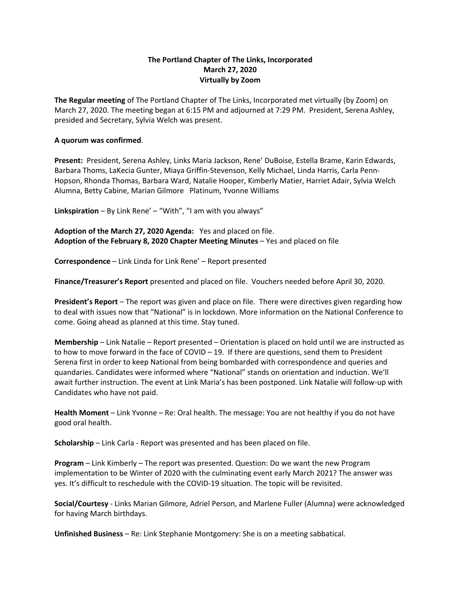## **The Portland Chapter of The Links, Incorporated March 27, 2020 Virtually by Zoom**

**The Regular meeting** of The Portland Chapter of The Links, Incorporated met virtually (by Zoom) on March 27, 2020. The meeting began at 6:15 PM and adjourned at 7:29 PM. President, Serena Ashley, presided and Secretary, Sylvia Welch was present.

## **A quorum was confirmed**.

**Present:** President, Serena Ashley, Links Maria Jackson, Rene' DuBoise, Estella Brame, Karin Edwards, Barbara Thoms, LaKecia Gunter, Miaya Griffin-Stevenson, Kelly Michael, Linda Harris, Carla Penn-Hopson, Rhonda Thomas, Barbara Ward, Natalie Hooper, Kimberly Matier, Harriet Adair, Sylvia Welch Alumna, Betty Cabine, Marian Gilmore Platinum, Yvonne Williams

**Linkspiration** – By Link Rene' – "With", "I am with you always"

**Adoption of the March 27, 2020 Agenda:** Yes and placed on file. **Adoption of the February 8, 2020 Chapter Meeting Minutes** – Yes and placed on file

**Correspondence** – Link Linda for Link Rene' – Report presented

**Finance/Treasurer's Report** presented and placed on file. Vouchers needed before April 30, 2020.

**President's Report** – The report was given and place on file. There were directives given regarding how to deal with issues now that "National" is in lockdown. More information on the National Conference to come. Going ahead as planned at this time. Stay tuned.

**Membership** – Link Natalie – Report presented – Orientation is placed on hold until we are instructed as to how to move forward in the face of COVID – 19. If there are questions, send them to President Serena first in order to keep National from being bombarded with correspondence and queries and quandaries. Candidates were informed where "National" stands on orientation and induction. We'll await further instruction. The event at Link Maria's has been postponed. Link Natalie will follow-up with Candidates who have not paid.

**Health Moment** – Link Yvonne – Re: Oral health. The message: You are not healthy if you do not have good oral health.

**Scholarship** – Link Carla - Report was presented and has been placed on file.

**Program** – Link Kimberly – The report was presented. Question: Do we want the new Program implementation to be Winter of 2020 with the culminating event early March 2021? The answer was yes. It's difficult to reschedule with the COVID-19 situation. The topic will be revisited.

**Social/Courtesy** - Links Marian Gilmore, Adriel Person, and Marlene Fuller (Alumna) were acknowledged for having March birthdays.

**Unfinished Business** – Re: Link Stephanie Montgomery: She is on a meeting sabbatical.